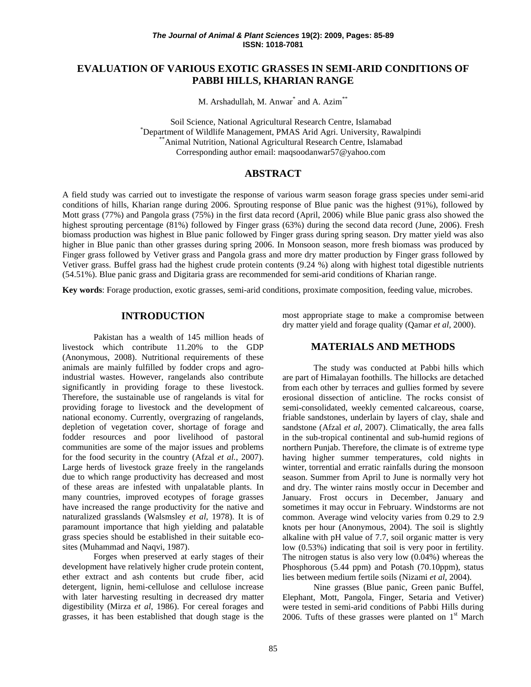# **EVALUATION OF VARIOUS EXOTIC GRASSES IN SEMI-ARID CONDITIONS OF PABBI HILLS, KHARIAN RANGE**

M. Arshadullah, M. Anwar<sup>\*</sup> and A. Azim<sup>\*\*</sup>

Soil Science, National Agricultural Research Centre, Islamabad \* Department of Wildlife Management, PMAS Arid Agri. University, Rawalpindi \*\*Animal Nutrition, National Agricultural Research Centre, Islamabad Corresponding author email: maqsoodanwar57@yahoo.com

# **ABSTRACT**

A field study was carried out to investigate the response of various warm season forage grass species under semi-arid conditions of hills, Kharian range during 2006. Sprouting response of Blue panic was the highest (91%), followed by Mott grass (77%) and Pangola grass (75%) in the first data record (April, 2006) while Blue panic grass also showed the highest sprouting percentage (81%) followed by Finger grass (63%) during the second data record (June, 2006). Fresh biomass production was highest in Blue panic followed by Finger grass during spring season. Dry matter yield was also higher in Blue panic than other grasses during spring 2006. In Monsoon season, more fresh biomass was produced by Finger grass followed by Vetiver grass and Pangola grass and more dry matter production by Finger grass followed by Vetiver grass. Buffel grass had the highest crude protein contents (9.24 %) along with highest total digestible nutrients (54.51%). Blue panic grass and Digitaria grass are recommended for semi-arid conditions of Kharian range.

**Key words**: Forage production, exotic grasses, semi-arid conditions, proximate composition, feeding value, microbes.

#### **INTRODUCTION**

Pakistan has a wealth of 145 million heads of livestock which contribute 11.20% to the GDP (Anonymous, 2008). Nutritional requirements of these animals are mainly fulfilled by fodder crops and agroindustrial wastes. However, rangelands also contribute significantly in providing forage to these livestock. Therefore, the sustainable use of rangelands is vital for providing forage to livestock and the development of national economy. Currently, overgrazing of rangelands, depletion of vegetation cover, shortage of forage and fodder resources and poor livelihood of pastoral communities are some of the major issues and problems for the food security in the country (Afzal *et al.*, 2007). Large herds of livestock graze freely in the rangelands due to which range productivity has decreased and most of these areas are infested with unpalatable plants. In many countries, improved ecotypes of forage grasses have increased the range productivity for the native and naturalized grasslands (Walsmsley *et al,* 1978). It is of paramount importance that high yielding and palatable grass species should be established in their suitable ecosites (Muhammad and Naqvi, 1987).

Forges when preserved at early stages of their development have relatively higher crude protein content, ether extract and ash contents but crude fiber, acid detergent, lignin, hemi-cellulose and cellulose increase with later harvesting resulting in decreased dry matter digestibility (Mirza *et al*, 1986). For cereal forages and grasses, it has been established that dough stage is the most appropriate stage to make a compromise between dry matter yield and forage quality (Qamar *et al*, 2000).

## **MATERIALS AND METHODS**

The study was conducted at Pabbi hills which are part of Himalayan foothills. The hillocks are detached from each other by terraces and gullies formed by severe erosional dissection of anticline. The rocks consist of semi-consolidated, weekly cemented calcareous, coarse, friable sandstones, underlain by layers of clay, shale and sandstone (Afzal *et al*, 2007). Climatically, the area falls in the sub-tropical continental and sub-humid regions of northern Punjab. Therefore, the climate is of extreme type having higher summer temperatures, cold nights in winter, torrential and erratic rainfalls during the monsoon season. Summer from April to June is normally very hot and dry. The winter rains mostly occur in December and January. Frost occurs in December, January and sometimes it may occur in February. Windstorms are not common. Average wind velocity varies from 0.29 to 2.9 knots per hour (Anonymous, 2004). The soil is slightly alkaline with pH value of 7.7, soil organic matter is very low (0.53%) indicating that soil is very poor in fertility. The nitrogen status is also very low (0.04%) whereas the Phosphorous (5.44 ppm) and Potash (70.10ppm), status lies between medium fertile soils (Nizami *et al*, 2004).

Nine grasses (Blue panic, Green panic Buffel, Elephant, Mott, Pangola, Finger, Setaria and Vetiver) were tested in semi-arid conditions of Pabbi Hills during 2006. Tufts of these grasses were planted on  $1<sup>st</sup>$  March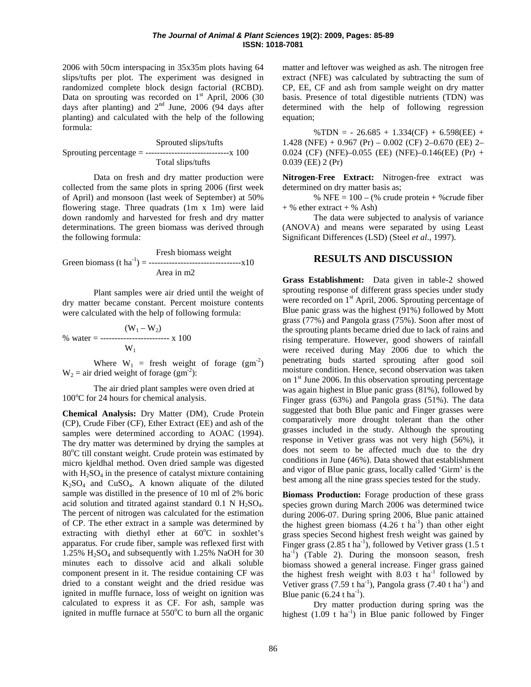2006 with 50cm interspacing in 35x35m plots having 64 slips/tufts per plot. The experiment was designed in randomized complete block design factorial (RCBD). Data on sprouting was recorded on  $1<sup>st</sup>$  April, 2006 (30 days after planting) and  $2<sup>nd</sup>$  June, 2006 (94 days after planting) and calculated with the help of the following formula:

Sprouted slips/tufts Sprouting percentage = -----------------------------x 100 Total slips/tufts

Data on fresh and dry matter production were collected from the same plots in spring 2006 (first week of April) and monsoon (last week of September) at 50% flowering stage. Three quadrats (1m x 1m) were laid down randomly and harvested for fresh and dry matter determinations. The green biomass was derived through the following formula:

Fresh biomass weight Green biomass (t ha-1 ) = --------------------------------x10 Area in m2

Plant samples were air dried until the weight of dry matter became constant. Percent moisture contents were calculated with the help of following formula:

$$
\% \text{ water} = \frac{(W_1 - W_2)}{W_1}
$$

Where  $W_1$  = fresh weight of forage  $(gm^2)$  $W_2$  = air dried weight of forage (gm<sup>-2</sup>):

The air dried plant samples were oven dried at 100°C for 24 hours for chemical analysis.

**Chemical Analysis:** Dry Matter (DM), Crude Protein (CP), Crude Fiber (CF), Ether Extract (EE) and ash of the samples were determined according to AOAC (1994). The dry matter was determined by drying the samples at 80°C till constant weight. Crude protein was estimated by micro kjeldhal method. Oven dried sample was digested with  $H_2SO_4$  in the presence of catalyst mixture containing  $K_2SO_4$  and  $CuSO_4$ . A known aliquate of the diluted sample was distilled in the presence of 10 ml of 2% boric acid solution and titrated against standard  $0.1 \text{ N H}_2\text{SO}_4$ . The percent of nitrogen was calculated for the estimation of CP. The ether extract in a sample was determined by extracting with diethyl ether at  $60^{\circ}$ C in soxhlet's apparatus. For crude fiber, sample was reflexed first with 1.25% H2SO4 and subsequently with 1.25% NaOH for 30 minutes each to dissolve acid and alkali soluble component present in it. The residue containing CF was dried to a constant weight and the dried residue was ignited in muffle furnace, loss of weight on ignition was calculated to express it as CF. For ash, sample was ignited in muffle furnace at  $550^{\circ}$ C to burn all the organic

matter and leftover was weighed as ash. The nitrogen free extract (NFE) was calculated by subtracting the sum of CP, EE, CF and ash from sample weight on dry matter basis. Presence of total digestible nutrients (TDN) was determined with the help of following regression equation;

 $\%TDN = -26.685 + 1.334(CF) + 6.598(EE) +$ 1.428 (NFE) +  $0.967$  (Pr) –  $0.002$  (CF) 2– $0.670$  (EE) 2– 0.024 (CF) (NFE)–0.055 (EE) (NFE)–0.146(EE) (Pr) + 0.039 (EE) 2 (Pr)

**Nitrogen-Free Extract:** Nitrogen-free extract was determined on dry matter basis as;

% NFE =  $100 - (% \text{ crude protein} + % \text{crude fiber})$  $+$  % ether extract  $+$  % Ash)

The data were subjected to analysis of variance (ANOVA) and means were separated by using Least Significant Differences (LSD) (Steel *et al*., 1997).

## **RESULTS AND DISCUSSION**

**Grass Establishment:** Data given in table-2 showed sprouting response of different grass species under study were recorded on 1<sup>st</sup> April, 2006. Sprouting percentage of Blue panic grass was the highest (91%) followed by Mott grass (77%) and Pangola grass (75%). Soon after most of the sprouting plants became dried due to lack of rains and rising temperature. However, good showers of rainfall were received during May 2006 due to which the penetrating buds started sprouting after good soil moisture condition. Hence, second observation was taken on  $1<sup>st</sup>$  June 2006. In this observation sprouting percentage was again highest in Blue panic grass (81%), followed by Finger grass (63%) and Pangola grass (51%). The data suggested that both Blue panic and Finger grasses were comparatively more drought tolerant than the other grasses included in the study. Although the sprouting response in Vetiver grass was not very high (56%), it does not seem to be affected much due to the dry conditions in June (46%). Data showed that establishment and vigor of Blue panic grass, locally called 'Girm' is the best among all the nine grass species tested for the study.

**Biomass Production:** Forage production of these grass species grown during March 2006 was determined twice during 2006-07. During spring 2006, Blue panic attained the highest green biomass  $(4.26 \text{ t} \text{ ha}^{-1})$  than other eight grass species Second highest fresh weight was gained by Finger grass  $(2.85 \text{ t ha}^{-1})$ , followed by Vetiver grass  $(1.5 \text{ t})$ ha<sup>-1</sup>) (Table 2). During the monsoon season, fresh biomass showed a general increase. Finger grass gained the highest fresh weight with  $8.03$  t ha<sup>-1</sup> followed by Vetiver grass  $(7.59 \text{ t ha}^{-1})$ , Pangola grass  $(7.40 \text{ t ha}^{-1})$  and Blue panic  $(6.24 \text{ tha}^{-1})$ .

Dry matter production during spring was the highest  $(1.09 \text{ t} \text{ ha}^{-1})$  in Blue panic followed by Finger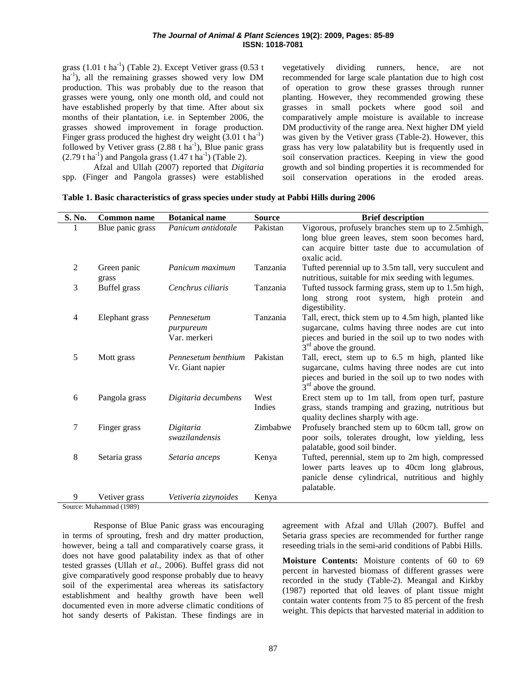#### *The Journal of Animal & Plant Sciences* **19(2): 2009, Pages: 85-89 ISSN: 1018-7081**

grass  $(1.01 \text{ t ha}^{-1})$  (Table 2). Except Vetiver grass  $(0.53 \text{ t})$ ha<sup>-1</sup>), all the remaining grasses showed very low DM production. This was probably due to the reason that grasses were young, only one month old, and could not have established properly by that time. After about six months of their plantation, i.e. in September 2006, the grasses showed improvement in forage production. Finger grass produced the highest dry weight  $(3.01 \text{ t ha}^{-1})$ followed by Vetiver grass  $(2.88 \text{ t ha}^{-1})$ , Blue panic grass  $(2.79 \text{ t ha}^{-1})$  and Pangola grass  $(1.47 \text{ t ha}^{-1})$  (Table 2). Afzal and Ullah (2007) reported that *Digitaria*

vegetatively dividing runners, hence, are not recommended for large scale plantation due to high cost of operation to grow these grasses through runner planting. However, they recommended growing these grasses in small pockets where good soil and comparatively ample moisture is available to increase DM productivity of the range area. Next higher DM yield was given by the Vetiver grass (Table-2). However, this grass has very low palatability but is frequently used in soil conservation practices. Keeping in view the good growth and sol binding properties it is recommended for conservation operations in the eroded areas.

|  |  |  | $Aizar$ and $Dizar$ (2007) reported that $Diziarra$ | 5101 |
|--|--|--|-----------------------------------------------------|------|
|  |  |  | spp. (Finger and Pangola grasses) were established  | soil |

| S. No. | <b>Common name</b> | <b>Botanical name</b> | <b>Source</b> | <b>Brief description</b>                              |
|--------|--------------------|-----------------------|---------------|-------------------------------------------------------|
| 1      | Blue panic grass   | Panicum antidotale    | Pakistan      | Vigorous, profusely branches stem up to 2.5mhigh,     |
|        |                    |                       |               | long blue green leaves, stem soon becomes hard,       |
|        |                    |                       |               | can acquire bitter taste due to accumulation of       |
|        |                    |                       |               | oxalic acid.                                          |
| 2      | Green panic        | Panicum maximum       | Tanzania      | Tufted perennial up to 3.5m tall, very succulent and  |
|        | grass              |                       |               | nutritious, suitable for mix seeding with legumes.    |
| 3      | Buffel grass       | Cenchrus ciliaris     | Tanzania      | Tufted tussock farming grass, stem up to 1.5m high,   |
|        |                    |                       |               | long strong root system, high protein<br>and          |
|        |                    |                       |               | digestibility.                                        |
| 4      | Elephant grass     | Pennesetum            | Tanzania      | Tall, erect, thick stem up to 4.5m high, planted like |
|        |                    | purpureum             |               | sugarcane, culms having three nodes are cut into      |
|        |                    | Var. merkeri          |               | pieces and buried in the soil up to two nodes with    |
|        |                    |                       |               | $3rd$ above the ground.                               |
| 5      | Mott grass         | Pennesetum benthium   | Pakistan      | Tall, erect, stem up to 6.5 m high, planted like      |
|        |                    | Vr. Giant napier      |               | sugarcane, culms having three nodes are cut into      |
|        |                    |                       |               | pieces and buried in the soil up to two nodes with    |
|        |                    |                       |               | $3rd$ above the ground.                               |
| 6      | Pangola grass      | Digitaria decumbens   | West          | Erect stem up to 1m tall, from open turf, pasture     |
|        |                    |                       | Indies        | grass, stands tramping and grazing, nutritious but    |
|        |                    |                       |               | quality declines sharply with age.                    |
| 7      | Finger grass       | Digitaria             | Zimbabwe      | Profusely branched stem up to 60cm tall, grow on      |
|        |                    | swazilandensis        |               | poor soils, tolerates drought, low yielding, less     |
|        |                    |                       |               | palatable, good soil binder.                          |
| 8      | Setaria grass      | Setaria anceps        | Kenya         | Tufted, perennial, stem up to 2m high, compressed     |
|        |                    |                       |               | lower parts leaves up to 40cm long glabrous,          |
|        |                    |                       |               | panicle dense cylindrical, nutritious and highly      |
| 9      | Vetiver grass      | Vetiveria zizynoides  | Kenya         | palatable.                                            |
|        |                    |                       |               |                                                       |

Source: Muhammad (1989)

Response of Blue Panic grass was encouraging in terms of sprouting, fresh and dry matter production, however, being a tall and comparatively coarse grass, it does not have good palatability index as that of other tested grasses (Ullah *et al.*, 2006). Buffel grass did not give comparatively good response probably due to heavy soil of the experimental area whereas its satisfactory establishment and healthy growth have been well documented even in more adverse climatic conditions of hot sandy deserts of Pakistan. These findings are in agreement with Afzal and Ullah (2007). Buffel and Setaria grass species are recommended for further range reseeding trials in the semi-arid conditions of Pabbi Hills.

**Moisture Contents:** Moisture contents of 60 to 69 percent in harvested biomass of different grasses were recorded in the study (Table-2). Meangal and Kirkby (1987) reported that old leaves of plant tissue might contain water contents from 75 to 85 percent of the fresh weight. This depicts that harvested material in addition to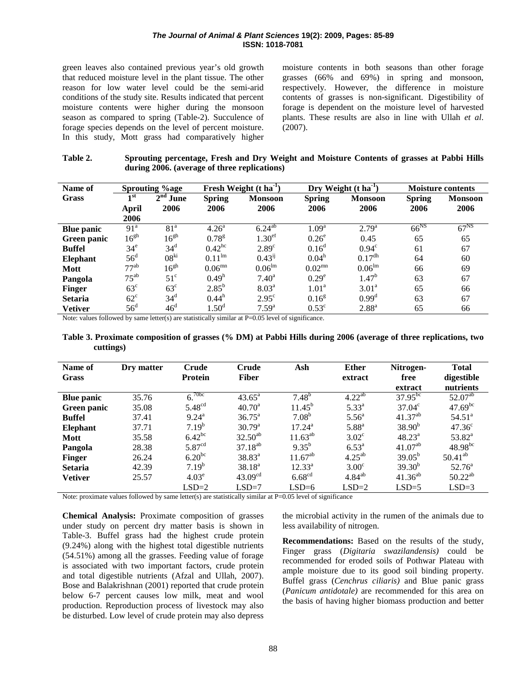#### The Journal of Animal & Plant Sciences 19(2): 2009, Pages: 85-89 ISSN: 1018-7081

green leaves also contained previous year's old growth that reduced moisture level in the plant tissue. The other reason for low water level could be the semi-arid conditions of the study site. Results indicated that percent moisture contents were higher during the monsoon season as compared to spring (Table-2). Succulence of forage species depends on the level of percent moisture. In this study, Mott grass had comparatively higher moisture contents in both seasons than other forage grasses  $(66\%$  and  $69\%)$  in spring and monsoon, respectively. However, the difference in moisture contents of grasses is non-significant. Digestibility of forage is dependent on the moisture level of harvested plants. These results are also in line with Ullah et al.  $(2007)$ .

#### Sprouting percentage, Fresh and Dry Weight and Moisture Contents of grasses at Pabbi Hills Table 2. during 2006. (average of three replications)

| Name of           | Sprouting %age   |                         | Fresh Weight $(t \text{ ha}^{-1})$ |                    | Dry Weight $(t \, ha^{-1})$ |                    | <b>Moisture contents</b> |                |
|-------------------|------------------|-------------------------|------------------------------------|--------------------|-----------------------------|--------------------|--------------------------|----------------|
| Grass             | 1 <sub>st</sub>  | 2 <sup>nd</sup><br>June | <b>Spring</b>                      | <b>Monsoon</b>     | <b>Spring</b>               | <b>Monsoon</b>     | <b>Spring</b>            | <b>Monsoon</b> |
|                   | <b>April</b>     | 2006                    | 2006                               | 2006               | 2006                        | 2006               | 2006                     | 2006           |
|                   | 2006             |                         |                                    |                    |                             |                    |                          |                |
| <b>Blue panic</b> | 91 <sup>a</sup>  | 81 <sup>a</sup>         | 4.26 <sup>a</sup>                  | $6.24^{ab}$        | 1.09 <sup>a</sup>           | $2.79^{a}$         | $66^{NS}$                | $67^{NS}$      |
| Green panic       | 16 <sup>gh</sup> | 16 <sup>gh</sup>        | 0.78 <sup>g</sup>                  | 1.30 <sup>ef</sup> | $0.26^e$                    | 0.45               | 65                       | 65             |
| <b>Buffel</b>     | 34 <sup>e</sup>  | $34^d$                  | $0.42$ <sup>hc</sup>               | 2.89 <sup>c</sup>  | 0.16 <sup>d</sup>           | $0.94^{\circ}$     | 61                       | 67             |
| <b>Elephant</b>   | $56^{\rm d}$     | 08 <sup>ki</sup>        | $0.11^{lm}$                        | $0.43^{ij}$        | 0.04 <sup>h</sup>           | $0.17^{\text{dh}}$ | 64                       | 60             |
| <b>Mott</b>       | $77^{ab}$        | 16 <sup>gh</sup>        | 0.06 <sup>mn</sup>                 | 0.06 <sup>lm</sup> | 0.02 <sup>mn</sup>          | 0.06 <sup>lm</sup> | 66                       | 69             |
| Pangola           | $75^{ab}$        | $51^{\circ}$            | 0.49 <sup>h</sup>                  | $7.40^{\rm a}$     | $0.29^e$                    | 1.47 <sup>b</sup>  | 63                       | 67             |
| Finger            | $63^{\circ}$     | $63^{\circ}$            | $2.85^{b}$                         | 8.03 <sup>a</sup>  | 1.01 <sup>a</sup>           | 3.01 <sup>a</sup>  | 65                       | 66             |
| <b>Setaria</b>    | $62^{\circ}$     | $34^d$                  | 0.44 <sup>h</sup>                  | $2.95^{\circ}$     | 0.16 <sup>g</sup>           | $0.99^d$           | 63                       | 67             |
| <b>Vetiver</b>    | $56^{\circ}$     | $46^{\rm d}$            | 1.50 <sup>d</sup>                  | $7.59^{a}$         | $0.53^{\circ}$              | $2.88^{a}$         | 65                       | 66             |

Note: values followed by same letter(s) are statistically similar at  $P=0.05$  level of significance.

Table 3. Proximate composition of grasses (% DM) at Pabbi Hills during 2006 (average of three replications, two cuttings)

| Name of<br>Grass  | Dry matter | Crude<br>Protein       | <b>Crude</b><br><b>Fiber</b> | Ash                | <b>Ether</b><br>extract | Nitrogen-<br>free  | <b>Total</b><br>digestible |
|-------------------|------------|------------------------|------------------------------|--------------------|-------------------------|--------------------|----------------------------|
|                   |            |                        |                              |                    |                         | extract            | nutrients                  |
| <b>Blue panic</b> | 35.76      | 70 <sub>bc</sub><br>6. | $43.65^{\circ}$              | $7.48^{b}$         | $4.22^{ab}$             | $37.95^{b\bar{c}}$ | $52.07^{ab}$               |
| Green panic       | 35.08      | 5.48 <sup>cd</sup>     | $40.70^{\rm a}$              | $11.45^b$          | $5.33^{a}$              | $37.04^{\circ}$    | $47.69^{bc}$               |
| <b>Buffel</b>     | 37.41      | $9.24^{\text{a}}$      | $36.75^{\circ}$              | $7.08^{b}$         | $5.56^{\circ}$          | $41.37^{ab}$       | $54.51^{\circ}$            |
| <b>Elephant</b>   | 37.71      | $7.19^{b}$             | $30.79^{\rm a}$              | $17.24^{\rm a}$    | $5.88^{a}$              | $38.90^{b}$        | $47.36^{\circ}$            |
| Mott              | 35.58      | $6.42^{bc}$            | $32.50^{ab}$                 | $11.63^{ab}$       | $3.02^{\circ}$          | $48.23^a$          | $53.82^a$                  |
| Pangola           | 28.38      | 5.87 <sup>cd</sup>     | $37.18^{ab}$                 | $9.35^{b}$         | $6.53^{\rm a}$          | $41.07^{ab}$       | $48.98^{bc}$               |
| <b>Finger</b>     | 26.24      | $6.20^{bc}$            | $38.83^{a}$                  | $11.67^{ab}$       | $4.25^{ab}$             | $39.05^{b}$        | $50.41^{ab}$               |
| <b>Setaria</b>    | 42.39      | $7.19^{b}$             | $38.18^{a}$                  | $12.33^{\rm a}$    | $3.00^\circ$            | $39.30^{b}$        | $52.76^{\circ}$            |
| <b>Vetiver</b>    | 25.57      | 4.03 <sup>e</sup>      | 43.09 <sup>cd</sup>          | 6.68 <sup>cd</sup> | $4.84^{ab}$             | $41.36^{ab}$       | $50.22^{ab}$               |
|                   |            | $LSD=2$                | $LSD=7$                      | $LSD=6$            | $LSD=2$                 | $LSD=5$            | $LSD=3$                    |

Note: proximate values followed by same letter(s) are statistically similar at P=0.05 level of significance

Chemical Analysis: Proximate composition of grasses under study on percent dry matter basis is shown in Table-3. Buffel grass had the highest crude protein (9.24%) along with the highest total digestible nutrients  $(54.51\%)$  among all the grasses. Feeding value of forage is associated with two important factors, crude protein and total digestible nutrients (Afzal and Ullah, 2007). Bose and Balakrishnan (2001) reported that crude protein below 6-7 percent causes low milk, meat and wool production. Reproduction process of livestock may also be disturbed. Low level of crude protein may also depress

the microbial activity in the rumen of the animals due to less availability of nitrogen.

**Recommendations:** Based on the results of the study. Finger grass (Digitaria swazilandensis) could be recommended for eroded soils of Pothwar Plateau with ample moisture due to its good soil binding property. Buffel grass (Cenchrus ciliaris) and Blue panic grass (Panicum antidotale) are recommended for this area on the basis of having higher biomass production and better